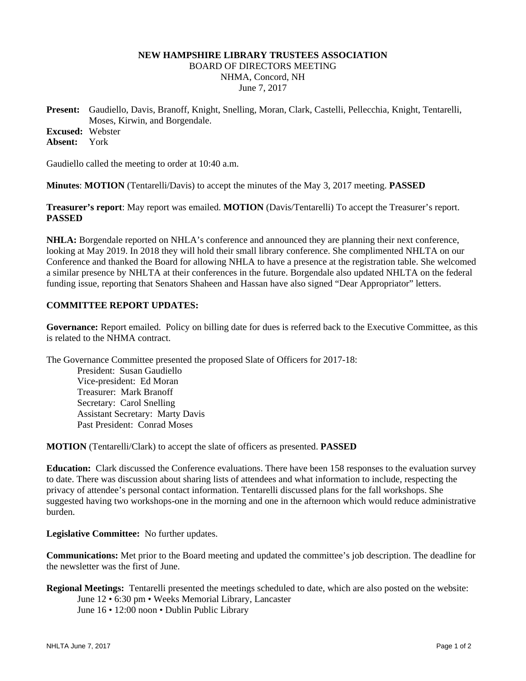### **NEW HAMPSHIRE LIBRARY TRUSTEES ASSOCIATION**  BOARD OF DIRECTORS MEETING NHMA, Concord, NH June 7, 2017

**Present:** Gaudiello, Davis, Branoff, Knight, Snelling, Moran, Clark, Castelli, Pellecchia, Knight, Tentarelli, Moses, Kirwin, and Borgendale. **Excused:** Webster

**Absent:** York

Gaudiello called the meeting to order at 10:40 a.m.

**Minutes**: **MOTION** (Tentarelli/Davis) to accept the minutes of the May 3, 2017 meeting. **PASSED**

**Treasurer's report**: May report was emailed. **MOTION** (Davis/Tentarelli) To accept the Treasurer's report. **PASSED**

**NHLA:** Borgendale reported on NHLA's conference and announced they are planning their next conference, looking at May 2019. In 2018 they will hold their small library conference. She complimented NHLTA on our Conference and thanked the Board for allowing NHLA to have a presence at the registration table. She welcomed a similar presence by NHLTA at their conferences in the future. Borgendale also updated NHLTA on the federal funding issue, reporting that Senators Shaheen and Hassan have also signed "Dear Appropriator" letters.

# **COMMITTEE REPORT UPDATES:**

**Governance:** Report emailed. Policy on billing date for dues is referred back to the Executive Committee, as this is related to the NHMA contract.

The Governance Committee presented the proposed Slate of Officers for 2017-18: President: Susan Gaudiello Vice-president: Ed Moran Treasurer: Mark Branoff Secretary: Carol Snelling Assistant Secretary: Marty Davis Past President: Conrad Moses

**MOTION** (Tentarelli/Clark) to accept the slate of officers as presented. **PASSED**

**Education:** Clark discussed the Conference evaluations. There have been 158 responses to the evaluation survey to date. There was discussion about sharing lists of attendees and what information to include, respecting the privacy of attendee's personal contact information. Tentarelli discussed plans for the fall workshops. She suggested having two workshops-one in the morning and one in the afternoon which would reduce administrative burden.

**Legislative Committee:** No further updates.

**Communications:** Met prior to the Board meeting and updated the committee's job description. The deadline for the newsletter was the first of June.

**Regional Meetings:** Tentarelli presented the meetings scheduled to date, which are also posted on the website: June 12 • 6:30 pm • Weeks Memorial Library, Lancaster June 16 • 12:00 noon • Dublin Public Library